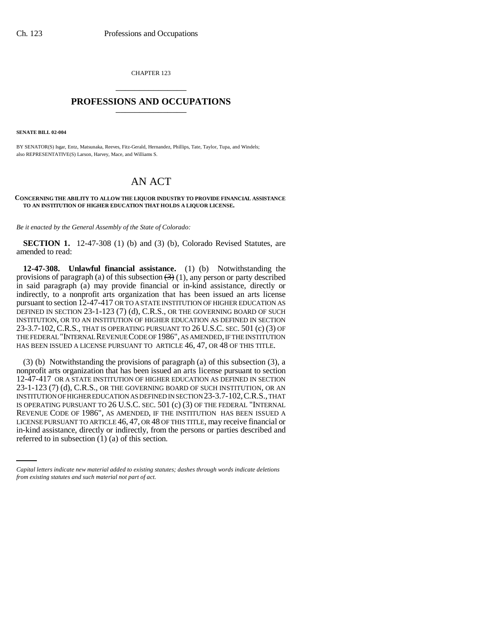CHAPTER 123 \_\_\_\_\_\_\_\_\_\_\_\_\_\_\_

## **PROFESSIONS AND OCCUPATIONS** \_\_\_\_\_\_\_\_\_\_\_\_\_\_\_

**SENATE BILL 02-004**

BY SENATOR(S) Isgar, Entz, Matsunaka, Reeves, Fitz-Gerald, Hernandez, Phillips, Tate, Taylor, Tupa, and Windels; also REPRESENTATIVE(S) Larson, Harvey, Mace, and Williams S.

## AN ACT

## **CONCERNING THE ABILITY TO ALLOW THE LIQUOR INDUSTRY TO PROVIDE FINANCIAL ASSISTANCE TO AN INSTITUTION OF HIGHER EDUCATION THAT HOLDS A LIQUOR LICENSE.**

*Be it enacted by the General Assembly of the State of Colorado:*

**SECTION 1.** 12-47-308 (1) (b) and (3) (b), Colorado Revised Statutes, are amended to read:

**12-47-308. Unlawful financial assistance.** (1) (b) Notwithstanding the provisions of paragraph (a) of this subsection  $(3)(1)$ , any person or party described in said paragraph (a) may provide financial or in-kind assistance, directly or indirectly, to a nonprofit arts organization that has been issued an arts license pursuant to section 12-47-417 OR TO A STATE INSTITUTION OF HIGHER EDUCATION AS DEFINED IN SECTION 23-1-123 (7) (d), C.R.S., OR THE GOVERNING BOARD OF SUCH INSTITUTION, OR TO AN INSTITUTION OF HIGHER EDUCATION AS DEFINED IN SECTION 23-3.7-102, C.R.S., THAT IS OPERATING PURSUANT TO 26 U.S.C. SEC. 501 (c) (3) OF THE FEDERAL "INTERNAL REVENUE CODE OF 1986", AS AMENDED, IF THE INSTITUTION HAS BEEN ISSUED A LICENSE PURSUANT TO ARTICLE 46, 47, OR 48 OF THIS TITLE.

LICENSE PURSUANT TO ARTICLE 46, 47, OR 48 OF THIS TITLE, may receive financial or (3) (b) Notwithstanding the provisions of paragraph (a) of this subsection (3), a nonprofit arts organization that has been issued an arts license pursuant to section 12-47-417 OR A STATE INSTITUTION OF HIGHER EDUCATION AS DEFINED IN SECTION 23-1-123 (7) (d), C.R.S., OR THE GOVERNING BOARD OF SUCH INSTITUTION, OR AN INSTITUTION OF HIGHER EDUCATION AS DEFINED IN SECTION 23-3.7-102,C.R.S., THAT IS OPERATING PURSUANT TO 26 U.S.C. SEC. 501 (c) (3) OF THE FEDERAL "INTERNAL REVENUE CODE OF 1986", AS AMENDED, IF THE INSTITUTION HAS BEEN ISSUED A in-kind assistance, directly or indirectly, from the persons or parties described and referred to in subsection (1) (a) of this section.

*Capital letters indicate new material added to existing statutes; dashes through words indicate deletions from existing statutes and such material not part of act.*